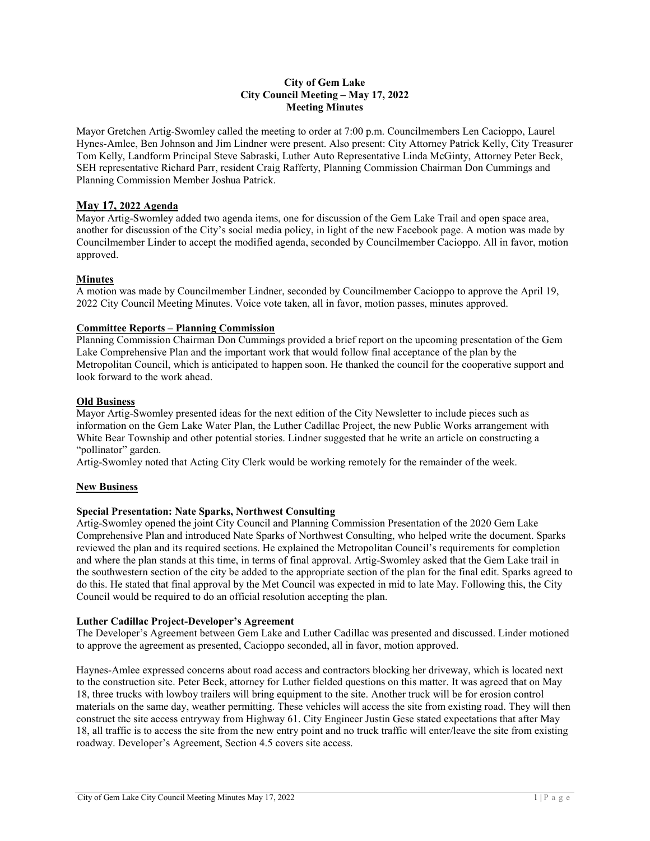# **City of Gem Lake City Council Meeting – May 17, 2022 Meeting Minutes**

Mayor Gretchen Artig-Swomley called the meeting to order at 7:00 p.m. Councilmembers Len Cacioppo, Laurel Hynes-Amlee, Ben Johnson and Jim Lindner were present. Also present: City Attorney Patrick Kelly, City Treasurer Tom Kelly, Landform Principal Steve Sabraski, Luther Auto Representative Linda McGinty, Attorney Peter Beck, SEH representative Richard Parr, resident Craig Rafferty, Planning Commission Chairman Don Cummings and Planning Commission Member Joshua Patrick.

# **May 17, 2022 Agenda**

Mayor Artig-Swomley added two agenda items, one for discussion of the Gem Lake Trail and open space area, another for discussion of the City's social media policy, in light of the new Facebook page. A motion was made by Councilmember Linder to accept the modified agenda, seconded by Councilmember Cacioppo. All in favor, motion approved.

# **Minutes**

A motion was made by Councilmember Lindner, seconded by Councilmember Cacioppo to approve the April 19, 2022 City Council Meeting Minutes. Voice vote taken, all in favor, motion passes, minutes approved.

# **Committee Reports – Planning Commission**

Planning Commission Chairman Don Cummings provided a brief report on the upcoming presentation of the Gem Lake Comprehensive Plan and the important work that would follow final acceptance of the plan by the Metropolitan Council, which is anticipated to happen soon. He thanked the council for the cooperative support and look forward to the work ahead.

# **Old Business**

Mayor Artig-Swomley presented ideas for the next edition of the City Newsletter to include pieces such as information on the Gem Lake Water Plan, the Luther Cadillac Project, the new Public Works arrangement with White Bear Township and other potential stories. Lindner suggested that he write an article on constructing a "pollinator" garden.

Artig-Swomley noted that Acting City Clerk would be working remotely for the remainder of the week.

# **New Business**

## **Special Presentation: Nate Sparks, Northwest Consulting**

Artig-Swomley opened the joint City Council and Planning Commission Presentation of the 2020 Gem Lake Comprehensive Plan and introduced Nate Sparks of Northwest Consulting, who helped write the document. Sparks reviewed the plan and its required sections. He explained the Metropolitan Council's requirements for completion and where the plan stands at this time, in terms of final approval. Artig-Swomley asked that the Gem Lake trail in the southwestern section of the city be added to the appropriate section of the plan for the final edit. Sparks agreed to do this. He stated that final approval by the Met Council was expected in mid to late May. Following this, the City Council would be required to do an official resolution accepting the plan.

### **Luther Cadillac Project-Developer's Agreement**

The Developer's Agreement between Gem Lake and Luther Cadillac was presented and discussed. Linder motioned to approve the agreement as presented, Cacioppo seconded, all in favor, motion approved.

Haynes-Amlee expressed concerns about road access and contractors blocking her driveway, which is located next to the construction site. Peter Beck, attorney for Luther fielded questions on this matter. It was agreed that on May 18, three trucks with lowboy trailers will bring equipment to the site. Another truck will be for erosion control materials on the same day, weather permitting. These vehicles will access the site from existing road. They will then construct the site access entryway from Highway 61. City Engineer Justin Gese stated expectations that after May 18, all traffic is to access the site from the new entry point and no truck traffic will enter/leave the site from existing roadway. Developer's Agreement, Section 4.5 covers site access.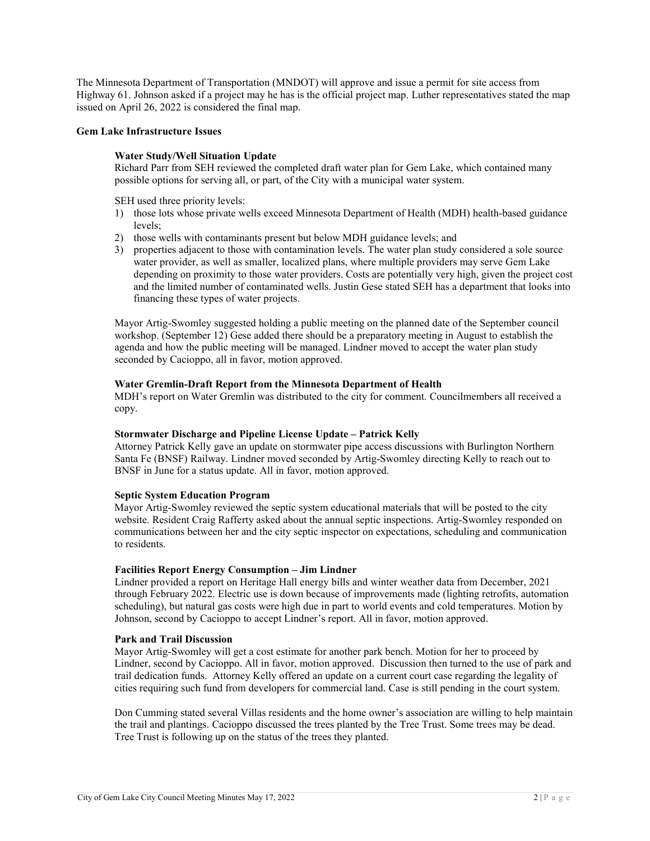The Minnesota Department of Transportation (MNDOT) will approve and issue a permit for site access from Highway 61. Johnson asked if a project may he has is the official project map. Luther representatives stated the map issued on April 26, 2022 is considered the final map.

### **Gem Lake Infrastructure Issues**

# **Water Study/Well Situation Update**

Richard Parr from SEH reviewed the completed draft water plan for Gem Lake, which contained many possible options for serving all, or part, of the City with a municipal water system.

SEH used three priority levels:

- 1) those lots whose private wells exceed Minnesota Department of Health (MDH) health-based guidance levels;
- 2) those wells with contaminants present but below MDH guidance levels; and
- 3) properties adjacent to those with contamination levels. The water plan study considered a sole source water provider, as well as smaller, localized plans, where multiple providers may serve Gem Lake depending on proximity to those water providers. Costs are potentially very high, given the project cost and the limited number of contaminated wells. Justin Gese stated SEH has a department that looks into financing these types of water projects.

Mayor Artig-Swomley suggested holding a public meeting on the planned date of the September council workshop. (September 12) Gese added there should be a preparatory meeting in August to establish the agenda and how the public meeting will be managed. Lindner moved to accept the water plan study seconded by Cacioppo, all in favor, motion approved.

### **Water Gremlin-Draft Report from the Minnesota Department of Health**

MDH's report on Water Gremlin was distributed to the city for comment. Councilmembers all received a copy.

### **Stormwater Discharge and Pipeline License Update – Patrick Kelly**

Attorney Patrick Kelly gave an update on stormwater pipe access discussions with Burlington Northern Santa Fe (BNSF) Railway. Lindner moved seconded by Artig-Swomley directing Kelly to reach out to BNSF in June for a status update. All in favor, motion approved.

## **Septic System Education Program**

Mayor Artig-Swomley reviewed the septic system educational materials that will be posted to the city website. Resident Craig Rafferty asked about the annual septic inspections. Artig-Swomley responded on communications between her and the city septic inspector on expectations, scheduling and communication to residents.

### **Facilities Report Energy Consumption – Jim Lindner**

Lindner provided a report on Heritage Hall energy bills and winter weather data from December, 2021 through February 2022. Electric use is down because of improvements made (lighting retrofits, automation scheduling), but natural gas costs were high due in part to world events and cold temperatures. Motion by Johnson, second by Cacioppo to accept Lindner's report. All in favor, motion approved.

### **Park and Trail Discussion**

Mayor Artig-Swomley will get a cost estimate for another park bench. Motion for her to proceed by Lindner, second by Cacioppo. All in favor, motion approved. Discussion then turned to the use of park and trail dedication funds. Attorney Kelly offered an update on a current court case regarding the legality of cities requiring such fund from developers for commercial land. Case is still pending in the court system.

Don Cumming stated several Villas residents and the home owner's association are willing to help maintain the trail and plantings. Cacioppo discussed the trees planted by the Tree Trust. Some trees may be dead. Tree Trust is following up on the status of the trees they planted.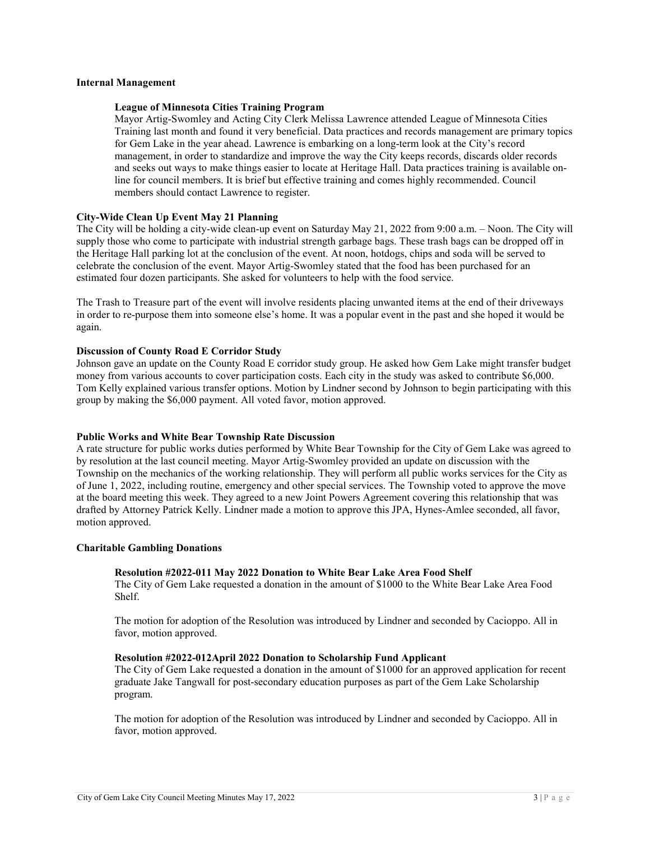## **Internal Management**

# **League of Minnesota Cities Training Program**

Mayor Artig-Swomley and Acting City Clerk Melissa Lawrence attended League of Minnesota Cities Training last month and found it very beneficial. Data practices and records management are primary topics for Gem Lake in the year ahead. Lawrence is embarking on a long-term look at the City's record management, in order to standardize and improve the way the City keeps records, discards older records and seeks out ways to make things easier to locate at Heritage Hall. Data practices training is available online for council members. It is brief but effective training and comes highly recommended. Council members should contact Lawrence to register.

# **City-Wide Clean Up Event May 21 Planning**

The City will be holding a city-wide clean-up event on Saturday May 21, 2022 from 9:00 a.m. – Noon. The City will supply those who come to participate with industrial strength garbage bags. These trash bags can be dropped off in the Heritage Hall parking lot at the conclusion of the event. At noon, hotdogs, chips and soda will be served to celebrate the conclusion of the event. Mayor Artig-Swomley stated that the food has been purchased for an estimated four dozen participants. She asked for volunteers to help with the food service.

The Trash to Treasure part of the event will involve residents placing unwanted items at the end of their driveways in order to re-purpose them into someone else's home. It was a popular event in the past and she hoped it would be again.

## **Discussion of County Road E Corridor Study**

Johnson gave an update on the County Road E corridor study group. He asked how Gem Lake might transfer budget money from various accounts to cover participation costs. Each city in the study was asked to contribute \$6,000. Tom Kelly explained various transfer options. Motion by Lindner second by Johnson to begin participating with this group by making the \$6,000 payment. All voted favor, motion approved.

### **Public Works and White Bear Township Rate Discussion**

A rate structure for public works duties performed by White Bear Township for the City of Gem Lake was agreed to by resolution at the last council meeting. Mayor Artig-Swomley provided an update on discussion with the Township on the mechanics of the working relationship. They will perform all public works services for the City as of June 1, 2022, including routine, emergency and other special services. The Township voted to approve the move at the board meeting this week. They agreed to a new Joint Powers Agreement covering this relationship that was drafted by Attorney Patrick Kelly. Lindner made a motion to approve this JPA, Hynes-Amlee seconded, all favor, motion approved.

### **Charitable Gambling Donations**

# **Resolution #2022-011 May 2022 Donation to White Bear Lake Area Food Shelf**

The City of Gem Lake requested a donation in the amount of \$1000 to the White Bear Lake Area Food Shelf.

The motion for adoption of the Resolution was introduced by Lindner and seconded by Cacioppo. All in favor, motion approved.

# **Resolution #2022-012April 2022 Donation to Scholarship Fund Applicant**

The City of Gem Lake requested a donation in the amount of \$1000 for an approved application for recent graduate Jake Tangwall for post-secondary education purposes as part of the Gem Lake Scholarship program.

The motion for adoption of the Resolution was introduced by Lindner and seconded by Cacioppo. All in favor, motion approved.